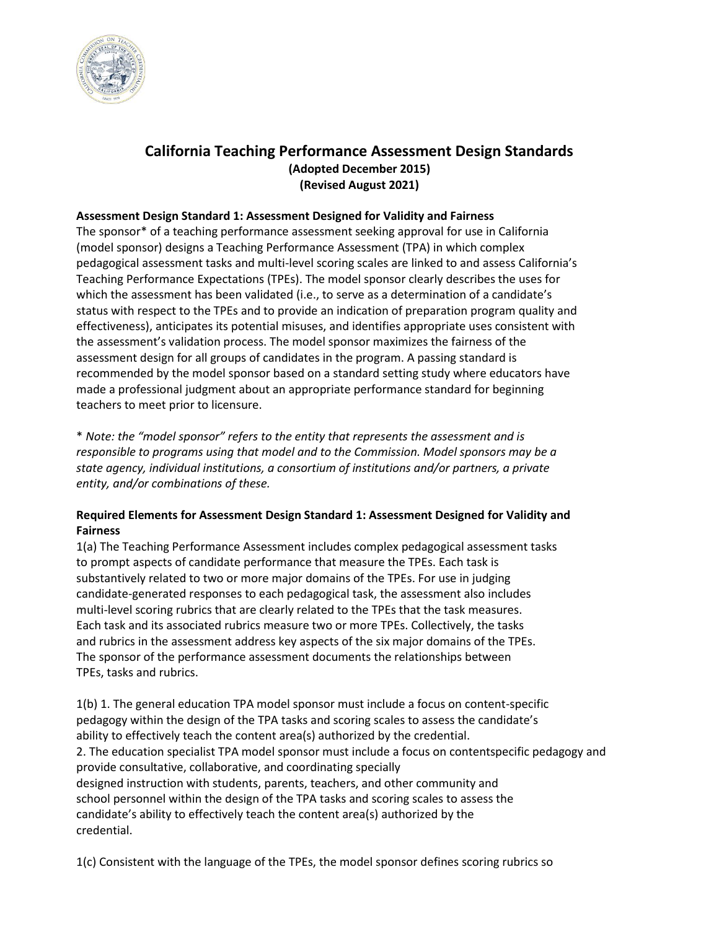

# **California Teaching Performance Assessment Design Standards (Adopted December 2015) (Revised August 2021)**

## **Assessment Design Standard 1: Assessment Designed for Validity and Fairness**

The sponsor\* of a teaching performance assessment seeking approval for use in California (model sponsor) designs a Teaching Performance Assessment (TPA) in which complex pedagogical assessment tasks and multi-level scoring scales are linked to and assess California's Teaching Performance Expectations (TPEs). The model sponsor clearly describes the uses for which the assessment has been validated (i.e., to serve as a determination of a candidate's status with respect to the TPEs and to provide an indication of preparation program quality and effectiveness), anticipates its potential misuses, and identifies appropriate uses consistent with the assessment's validation process. The model sponsor maximizes the fairness of the assessment design for all groups of candidates in the program. A passing standard is recommended by the model sponsor based on a standard setting study where educators have made a professional judgment about an appropriate performance standard for beginning teachers to meet prior to licensure.

\* *Note: the "model sponsor" refers to the entity that represents the assessment and is responsible to programs using that model and to the Commission. Model sponsors may be a state agency, individual institutions, a consortium of institutions and/or partners, a private entity, and/or combinations of these.* 

## **Required Elements for Assessment Design Standard 1: Assessment Designed for Validity and Fairness**

1(a) The Teaching Performance Assessment includes complex pedagogical assessment tasks to prompt aspects of candidate performance that measure the TPEs. Each task is substantively related to two or more major domains of the TPEs. For use in judging candidate-generated responses to each pedagogical task, the assessment also includes multi-level scoring rubrics that are clearly related to the TPEs that the task measures. Each task and its associated rubrics measure two or more TPEs. Collectively, the tasks and rubrics in the assessment address key aspects of the six major domains of the TPEs. The sponsor of the performance assessment documents the relationships between TPEs, tasks and rubrics.

1(b) 1. The general education TPA model sponsor must include a focus on content-specific pedagogy within the design of the TPA tasks and scoring scales to assess the candidate's ability to effectively teach the content area(s) authorized by the credential. 2. The education specialist TPA model sponsor must include a focus on contentspecific pedagogy and provide consultative, collaborative, and coordinating specially designed instruction with students, parents, teachers, and other community and school personnel within the design of the TPA tasks and scoring scales to assess the candidate's ability to effectively teach the content area(s) authorized by the credential.

1(c) Consistent with the language of the TPEs, the model sponsor defines scoring rubrics so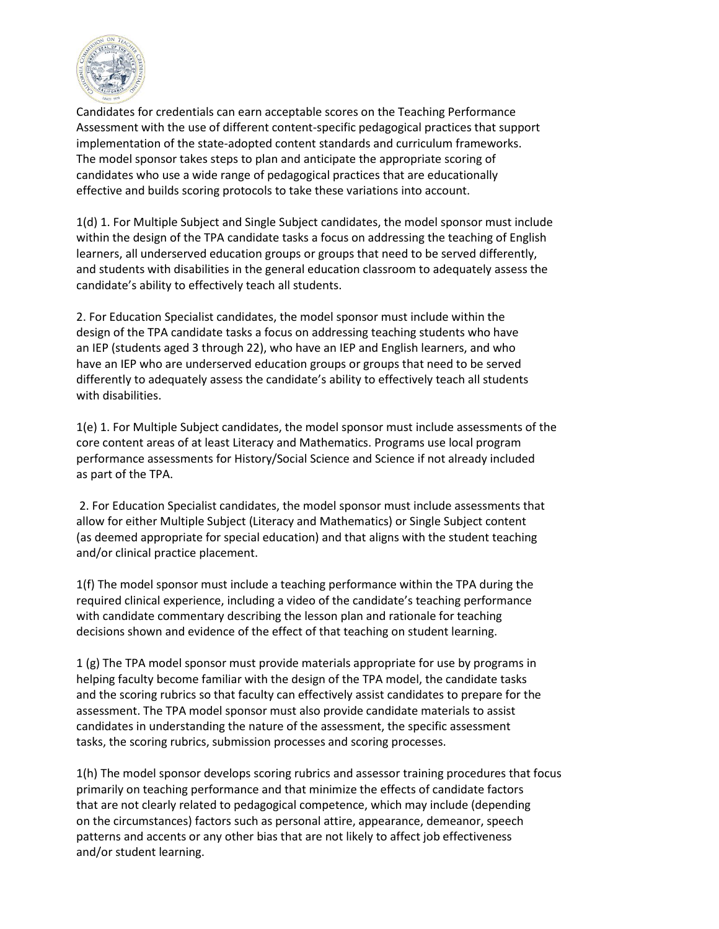

Candidates for credentials can earn acceptable scores on the Teaching Performance Assessment with the use of different content-specific pedagogical practices that support implementation of the state-adopted content standards and curriculum frameworks. The model sponsor takes steps to plan and anticipate the appropriate scoring of candidates who use a wide range of pedagogical practices that are educationally effective and builds scoring protocols to take these variations into account.

1(d) 1. For Multiple Subject and Single Subject candidates, the model sponsor must include within the design of the TPA candidate tasks a focus on addressing the teaching of English learners, all underserved education groups or groups that need to be served differently, and students with disabilities in the general education classroom to adequately assess the candidate's ability to effectively teach all students.

2. For Education Specialist candidates, the model sponsor must include within the design of the TPA candidate tasks a focus on addressing teaching students who have an IEP (students aged 3 through 22), who have an IEP and English learners, and who have an IEP who are underserved education groups or groups that need to be served differently to adequately assess the candidate's ability to effectively teach all students with disabilities.

1(e) 1. For Multiple Subject candidates, the model sponsor must include assessments of the core content areas of at least Literacy and Mathematics. Programs use local program performance assessments for History/Social Science and Science if not already included as part of the TPA.

 2. For Education Specialist candidates, the model sponsor must include assessments that allow for either Multiple Subject (Literacy and Mathematics) or Single Subject content (as deemed appropriate for special education) and that aligns with the student teaching and/or clinical practice placement.

1(f) The model sponsor must include a teaching performance within the TPA during the required clinical experience, including a video of the candidate's teaching performance with candidate commentary describing the lesson plan and rationale for teaching decisions shown and evidence of the effect of that teaching on student learning.

1 (g) The TPA model sponsor must provide materials appropriate for use by programs in helping faculty become familiar with the design of the TPA model, the candidate tasks and the scoring rubrics so that faculty can effectively assist candidates to prepare for the assessment. The TPA model sponsor must also provide candidate materials to assist candidates in understanding the nature of the assessment, the specific assessment tasks, the scoring rubrics, submission processes and scoring processes.

1(h) The model sponsor develops scoring rubrics and assessor training procedures that focus primarily on teaching performance and that minimize the effects of candidate factors that are not clearly related to pedagogical competence, which may include (depending on the circumstances) factors such as personal attire, appearance, demeanor, speech patterns and accents or any other bias that are not likely to affect job effectiveness and/or student learning.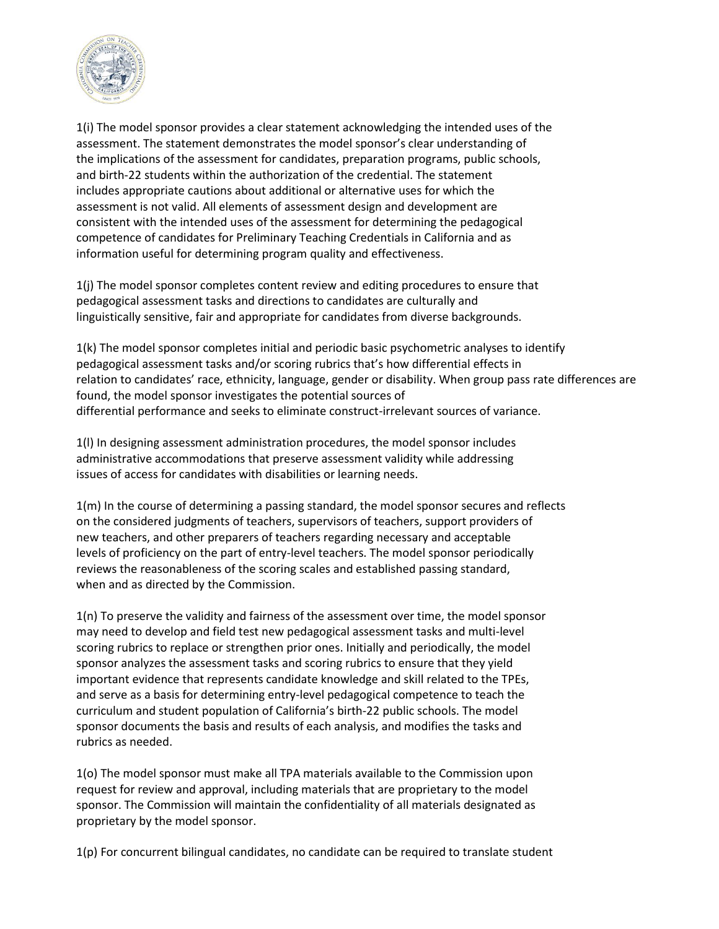

1(i) The model sponsor provides a clear statement acknowledging the intended uses of the assessment. The statement demonstrates the model sponsor's clear understanding of the implications of the assessment for candidates, preparation programs, public schools, and birth-22 students within the authorization of the credential. The statement includes appropriate cautions about additional or alternative uses for which the assessment is not valid. All elements of assessment design and development are consistent with the intended uses of the assessment for determining the pedagogical competence of candidates for Preliminary Teaching Credentials in California and as information useful for determining program quality and effectiveness.

1(j) The model sponsor completes content review and editing procedures to ensure that pedagogical assessment tasks and directions to candidates are culturally and linguistically sensitive, fair and appropriate for candidates from diverse backgrounds.

1(k) The model sponsor completes initial and periodic basic psychometric analyses to identify pedagogical assessment tasks and/or scoring rubrics that's how differential effects in relation to candidates' race, ethnicity, language, gender or disability. When group pass rate differences are found, the model sponsor investigates the potential sources of differential performance and seeks to eliminate construct-irrelevant sources of variance.

1(l) In designing assessment administration procedures, the model sponsor includes administrative accommodations that preserve assessment validity while addressing issues of access for candidates with disabilities or learning needs.

1(m) In the course of determining a passing standard, the model sponsor secures and reflects on the considered judgments of teachers, supervisors of teachers, support providers of new teachers, and other preparers of teachers regarding necessary and acceptable levels of proficiency on the part of entry-level teachers. The model sponsor periodically reviews the reasonableness of the scoring scales and established passing standard, when and as directed by the Commission.

1(n) To preserve the validity and fairness of the assessment over time, the model sponsor may need to develop and field test new pedagogical assessment tasks and multi-level scoring rubrics to replace or strengthen prior ones. Initially and periodically, the model sponsor analyzes the assessment tasks and scoring rubrics to ensure that they yield important evidence that represents candidate knowledge and skill related to the TPEs, and serve as a basis for determining entry-level pedagogical competence to teach the curriculum and student population of California's birth-22 public schools. The model sponsor documents the basis and results of each analysis, and modifies the tasks and rubrics as needed.

1(o) The model sponsor must make all TPA materials available to the Commission upon request for review and approval, including materials that are proprietary to the model sponsor. The Commission will maintain the confidentiality of all materials designated as proprietary by the model sponsor.

1(p) For concurrent bilingual candidates, no candidate can be required to translate student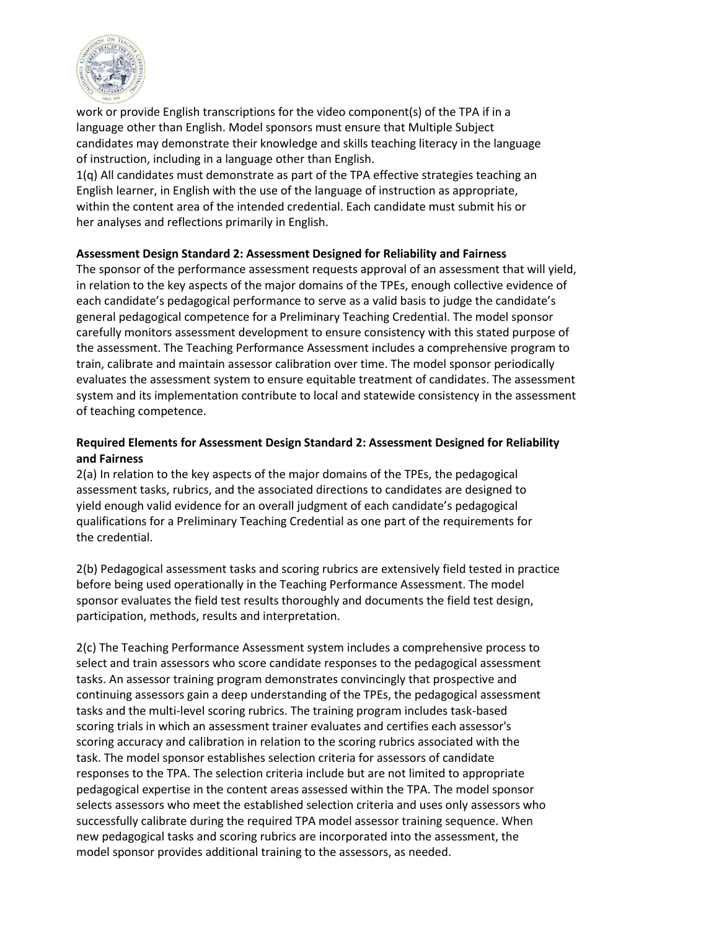

work or provide English transcriptions for the video component(s) of the TPA if in a language other than English. Model sponsors must ensure that Multiple Subject candidates may demonstrate their knowledge and skills teaching literacy in the language of instruction, including in a language other than English.

1(q) All candidates must demonstrate as part of the TPA effective strategies teaching an English learner, in English with the use of the language of instruction as appropriate, within the content area of the intended credential. Each candidate must submit his or her analyses and reflections primarily in English.

#### **Assessment Design Standard 2: Assessment Designed for Reliability and Fairness**

The sponsor of the performance assessment requests approval of an assessment that will yield, in relation to the key aspects of the major domains of the TPEs, enough collective evidence of each candidate's pedagogical performance to serve as a valid basis to judge the candidate's general pedagogical competence for a Preliminary Teaching Credential. The model sponsor carefully monitors assessment development to ensure consistency with this stated purpose of the assessment. The Teaching Performance Assessment includes a comprehensive program to train, calibrate and maintain assessor calibration over time. The model sponsor periodically evaluates the assessment system to ensure equitable treatment of candidates. The assessment system and its implementation contribute to local and statewide consistency in the assessment of teaching competence.

# **Required Elements for Assessment Design Standard 2: Assessment Designed for Reliability and Fairness**

2(a) In relation to the key aspects of the major domains of the TPEs, the pedagogical assessment tasks, rubrics, and the associated directions to candidates are designed to yield enough valid evidence for an overall judgment of each candidate's pedagogical qualifications for a Preliminary Teaching Credential as one part of the requirements for the credential.

2(b) Pedagogical assessment tasks and scoring rubrics are extensively field tested in practice before being used operationally in the Teaching Performance Assessment. The model sponsor evaluates the field test results thoroughly and documents the field test design, participation, methods, results and interpretation.

2(c) The Teaching Performance Assessment system includes a comprehensive process to select and train assessors who score candidate responses to the pedagogical assessment tasks. An assessor training program demonstrates convincingly that prospective and continuing assessors gain a deep understanding of the TPEs, the pedagogical assessment tasks and the multi-level scoring rubrics. The training program includes task-based scoring trials in which an assessment trainer evaluates and certifies each assessor's scoring accuracy and calibration in relation to the scoring rubrics associated with the task. The model sponsor establishes selection criteria for assessors of candidate responses to the TPA. The selection criteria include but are not limited to appropriate pedagogical expertise in the content areas assessed within the TPA. The model sponsor selects assessors who meet the established selection criteria and uses only assessors who successfully calibrate during the required TPA model assessor training sequence. When new pedagogical tasks and scoring rubrics are incorporated into the assessment, the model sponsor provides additional training to the assessors, as needed.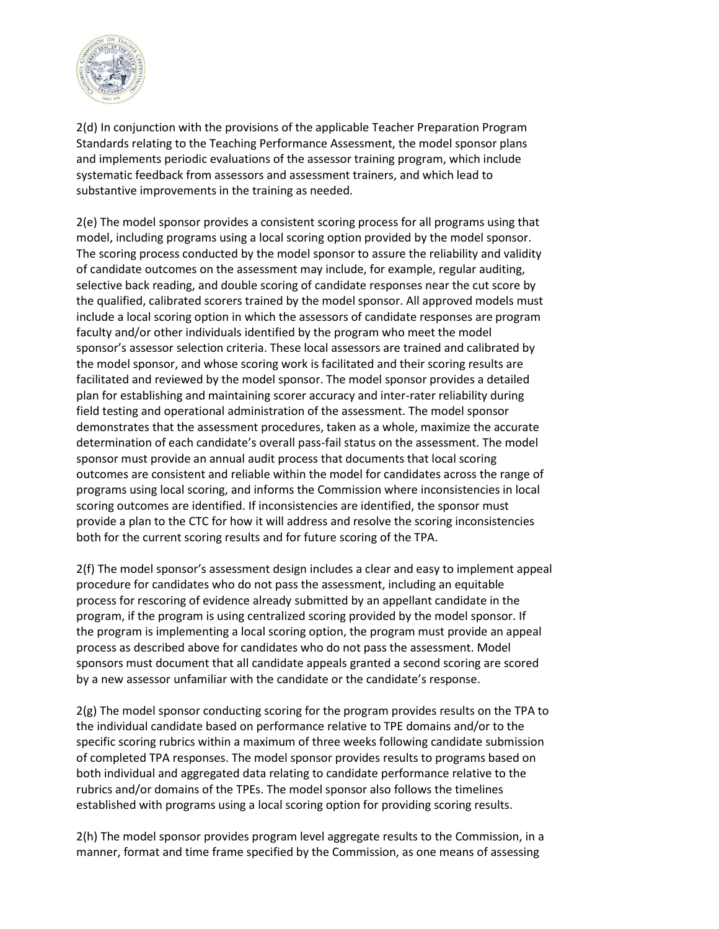

2(d) In conjunction with the provisions of the applicable Teacher Preparation Program Standards relating to the Teaching Performance Assessment, the model sponsor plans and implements periodic evaluations of the assessor training program, which include systematic feedback from assessors and assessment trainers, and which lead to substantive improvements in the training as needed.

2(e) The model sponsor provides a consistent scoring process for all programs using that model, including programs using a local scoring option provided by the model sponsor. The scoring process conducted by the model sponsor to assure the reliability and validity of candidate outcomes on the assessment may include, for example, regular auditing, selective back reading, and double scoring of candidate responses near the cut score by the qualified, calibrated scorers trained by the model sponsor. All approved models must include a local scoring option in which the assessors of candidate responses are program faculty and/or other individuals identified by the program who meet the model sponsor's assessor selection criteria. These local assessors are trained and calibrated by the model sponsor, and whose scoring work is facilitated and their scoring results are facilitated and reviewed by the model sponsor. The model sponsor provides a detailed plan for establishing and maintaining scorer accuracy and inter-rater reliability during field testing and operational administration of the assessment. The model sponsor demonstrates that the assessment procedures, taken as a whole, maximize the accurate determination of each candidate's overall pass-fail status on the assessment. The model sponsor must provide an annual audit process that documents that local scoring outcomes are consistent and reliable within the model for candidates across the range of programs using local scoring, and informs the Commission where inconsistencies in local scoring outcomes are identified. If inconsistencies are identified, the sponsor must provide a plan to the CTC for how it will address and resolve the scoring inconsistencies both for the current scoring results and for future scoring of the TPA.

2(f) The model sponsor's assessment design includes a clear and easy to implement appeal procedure for candidates who do not pass the assessment, including an equitable process for rescoring of evidence already submitted by an appellant candidate in the program, if the program is using centralized scoring provided by the model sponsor. If the program is implementing a local scoring option, the program must provide an appeal process as described above for candidates who do not pass the assessment. Model sponsors must document that all candidate appeals granted a second scoring are scored by a new assessor unfamiliar with the candidate or the candidate's response.

2(g) The model sponsor conducting scoring for the program provides results on the TPA to the individual candidate based on performance relative to TPE domains and/or to the specific scoring rubrics within a maximum of three weeks following candidate submission of completed TPA responses. The model sponsor provides results to programs based on both individual and aggregated data relating to candidate performance relative to the rubrics and/or domains of the TPEs. The model sponsor also follows the timelines established with programs using a local scoring option for providing scoring results.

2(h) The model sponsor provides program level aggregate results to the Commission, in a manner, format and time frame specified by the Commission, as one means of assessing